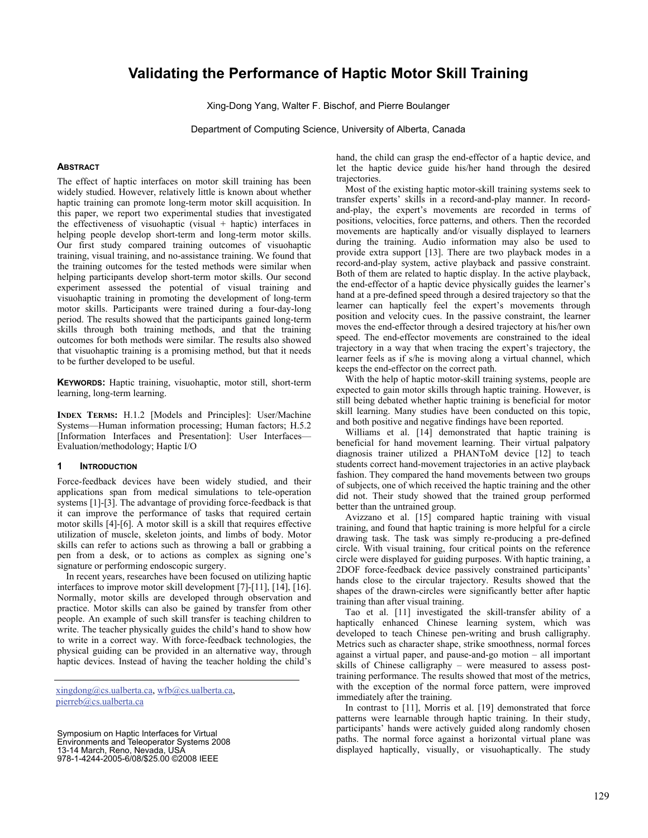# **Validating the Performance of Haptic Motor Skill Training**

Xing-Dong Yang, Walter F. Bischof, and Pierre Boulanger

Department of Computing Science, University of Alberta, Canada

### **ABSTRACT**

The effect of haptic interfaces on motor skill training has been widely studied. However, relatively little is known about whether haptic training can promote long-term motor skill acquisition. In this paper, we report two experimental studies that investigated the effectiveness of visuohaptic (visual + haptic) interfaces in helping people develop short-term and long-term motor skills. Our first study compared training outcomes of visuohaptic training, visual training, and no-assistance training. We found that the training outcomes for the tested methods were similar when helping participants develop short-term motor skills. Our second experiment assessed the potential of visual training and visuohaptic training in promoting the development of long-term motor skills. Participants were trained during a four-day-long period. The results showed that the participants gained long-term skills through both training methods, and that the training outcomes for both methods were similar. The results also showed that visuohaptic training is a promising method, but that it needs to be further developed to be useful.

**KEYWORDS:** Haptic training, visuohaptic, motor still, short-term learning, long-term learning.

**INDEX TERMS:** H.1.2 [Models and Principles]: User/Machine Systems—Human information processing; Human factors; H.5.2 [Information Interfaces and Presentation]: User Interfaces— Evaluation/methodology; Haptic I/O

# **1 INTRODUCTION**

Force-feedback devices have been widely studied, and their applications span from medical simulations to tele-operation systems [1]-[3]. The advantage of providing force-feedback is that it can improve the performance of tasks that required certain motor skills [4]-[6]. A motor skill is a skill that requires effective utilization of muscle, skeleton joints, and limbs of body. Motor skills can refer to actions such as throwing a ball or grabbing a pen from a desk, or to actions as complex as signing one's signature or performing endoscopic surgery.

In recent years, researches have been focused on utilizing haptic interfaces to improve motor skill development [7]-[11], [14], [16]. Normally, motor skills are developed through observation and practice. Motor skills can also be gained by transfer from other people. An example of such skill transfer is teaching children to write. The teacher physically guides the child's hand to show how to write in a correct way. With force-feedback technologies, the physical guiding can be provided in an alternative way, through haptic devices. Instead of having the teacher holding the child's

xingdong@cs.ualberta.ca, wfb@cs.ualberta.ca, pierreb@cs.ualberta.ca

Symposium on Haptic Interfaces for Virtual Environments and Teleoperator Systems 2008 13-14 March, Reno, Nevada, USA 978-1-4244-2005-6/08/\$25.00 ©2008 IEEE

hand, the child can grasp the end-effector of a haptic device, and let the haptic device guide his/her hand through the desired trajectories.

Most of the existing haptic motor-skill training systems seek to transfer experts' skills in a record-and-play manner. In recordand-play, the expert's movements are recorded in terms of positions, velocities, force patterns, and others. Then the recorded movements are haptically and/or visually displayed to learners during the training. Audio information may also be used to provide extra support [13]. There are two playback modes in a record-and-play system, active playback and passive constraint. Both of them are related to haptic display. In the active playback, the end-effector of a haptic device physically guides the learner's hand at a pre-defined speed through a desired trajectory so that the learner can haptically feel the expert's movements through position and velocity cues. In the passive constraint, the learner moves the end-effector through a desired trajectory at his/her own speed. The end-effector movements are constrained to the ideal trajectory in a way that when tracing the expert's trajectory, the learner feels as if s/he is moving along a virtual channel, which keeps the end-effector on the correct path.

With the help of haptic motor-skill training systems, people are expected to gain motor skills through haptic training. However, is still being debated whether haptic training is beneficial for motor skill learning. Many studies have been conducted on this topic, and both positive and negative findings have been reported.

Williams et al. [14] demonstrated that haptic training is beneficial for hand movement learning. Their virtual palpatory diagnosis trainer utilized a PHANToM device [12] to teach students correct hand-movement trajectories in an active playback fashion. They compared the hand movements between two groups of subjects, one of which received the haptic training and the other did not. Their study showed that the trained group performed better than the untrained group.

Avizzano et al. [15] compared haptic training with visual training, and found that haptic training is more helpful for a circle drawing task. The task was simply re-producing a pre-defined circle. With visual training, four critical points on the reference circle were displayed for guiding purposes. With haptic training, a 2DOF force-feedback device passively constrained participants' hands close to the circular trajectory. Results showed that the shapes of the drawn-circles were significantly better after haptic training than after visual training.

Tao et al. [11] investigated the skill-transfer ability of a haptically enhanced Chinese learning system, which was developed to teach Chinese pen-writing and brush calligraphy. Metrics such as character shape, strike smoothness, normal forces against a virtual paper, and pause-and-go motion – all important skills of Chinese calligraphy – were measured to assess posttraining performance. The results showed that most of the metrics, with the exception of the normal force pattern, were improved immediately after the training.

In contrast to [11], Morris et al. [19] demonstrated that force patterns were learnable through haptic training. In their study, participants' hands were actively guided along randomly chosen paths. The normal force against a horizontal virtual plane was displayed haptically, visually, or visuohaptically. The study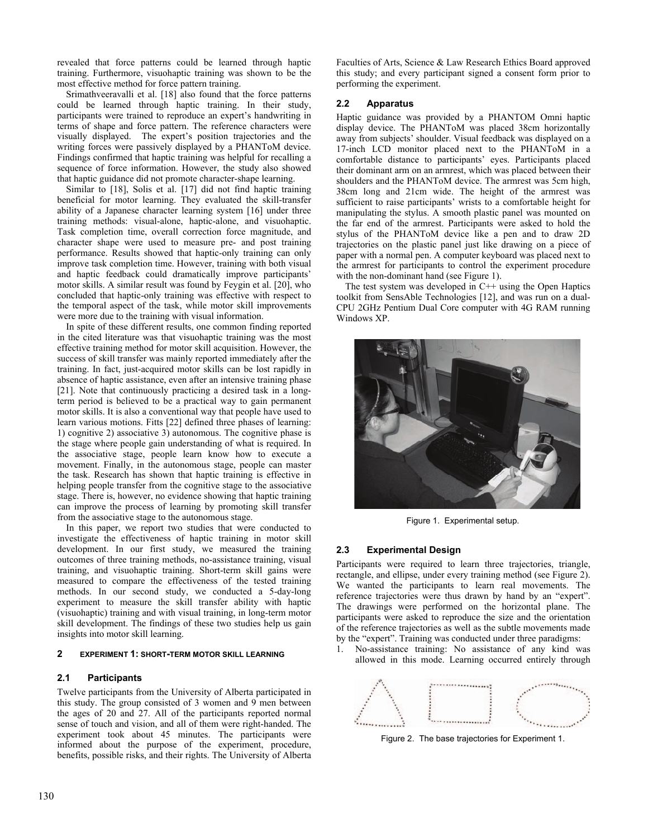revealed that force patterns could be learned through haptic training. Furthermore, visuohaptic training was shown to be the most effective method for force pattern training.

Srimathveeravalli et al. [18] also found that the force patterns could be learned through haptic training. In their study, participants were trained to reproduce an expert's handwriting in terms of shape and force pattern. The reference characters were visually displayed. The expert's position trajectories and the writing forces were passively displayed by a PHANToM device. Findings confirmed that haptic training was helpful for recalling a sequence of force information. However, the study also showed that haptic guidance did not promote character-shape learning.

Similar to [18], Solis et al. [17] did not find haptic training beneficial for motor learning. They evaluated the skill-transfer ability of a Japanese character learning system [16] under three training methods: visual-alone, haptic-alone, and visuohaptic. Task completion time, overall correction force magnitude, and character shape were used to measure pre- and post training performance. Results showed that haptic-only training can only improve task completion time. However, training with both visual and haptic feedback could dramatically improve participants' motor skills. A similar result was found by Feygin et al. [20], who concluded that haptic-only training was effective with respect to the temporal aspect of the task, while motor skill improvements were more due to the training with visual information.

In spite of these different results, one common finding reported in the cited literature was that visuohaptic training was the most effective training method for motor skill acquisition. However, the success of skill transfer was mainly reported immediately after the training. In fact, just-acquired motor skills can be lost rapidly in absence of haptic assistance, even after an intensive training phase [21]. Note that continuously practicing a desired task in a longterm period is believed to be a practical way to gain permanent motor skills. It is also a conventional way that people have used to learn various motions. Fitts [22] defined three phases of learning: 1) cognitive 2) associative 3) autonomous. The cognitive phase is the stage where people gain understanding of what is required. In the associative stage, people learn know how to execute a movement. Finally, in the autonomous stage, people can master the task. Research has shown that haptic training is effective in helping people transfer from the cognitive stage to the associative stage. There is, however, no evidence showing that haptic training can improve the process of learning by promoting skill transfer from the associative stage to the autonomous stage.

In this paper, we report two studies that were conducted to investigate the effectiveness of haptic training in motor skill development. In our first study, we measured the training outcomes of three training methods, no-assistance training, visual training, and visuohaptic training. Short-term skill gains were measured to compare the effectiveness of the tested training methods. In our second study, we conducted a 5-day-long experiment to measure the skill transfer ability with haptic (visuohaptic) training and with visual training, in long-term motor skill development. The findings of these two studies help us gain insights into motor skill learning.

### **2 EXPERIMENT 1: SHORT-TERM MOTOR SKILL LEARNING**

# **2.1 Participants**

Twelve participants from the University of Alberta participated in this study. The group consisted of 3 women and 9 men between the ages of 20 and 27. All of the participants reported normal sense of touch and vision, and all of them were right-handed. The experiment took about 45 minutes. The participants were informed about the purpose of the experiment, procedure, benefits, possible risks, and their rights. The University of Alberta

Faculties of Arts, Science & Law Research Ethics Board approved this study; and every participant signed a consent form prior to performing the experiment.

# **2.2 Apparatus**

Haptic guidance was provided by a PHANTOM Omni haptic display device. The PHANToM was placed 38cm horizontally away from subjects' shoulder. Visual feedback was displayed on a 17-inch LCD monitor placed next to the PHANToM in a comfortable distance to participants' eyes. Participants placed their dominant arm on an armrest, which was placed between their shoulders and the PHANToM device. The armrest was 5cm high, 38cm long and 21cm wide. The height of the armrest was sufficient to raise participants' wrists to a comfortable height for manipulating the stylus. A smooth plastic panel was mounted on the far end of the armrest. Participants were asked to hold the stylus of the PHANToM device like a pen and to draw 2D trajectories on the plastic panel just like drawing on a piece of paper with a normal pen. A computer keyboard was placed next to the armrest for participants to control the experiment procedure with the non-dominant hand (see Figure 1).

The test system was developed in C<sup>++</sup> using the Open Haptics toolkit from SensAble Technologies [12], and was run on a dual-CPU 2GHz Pentium Dual Core computer with 4G RAM running Windows XP.



Figure 1. Experimental setup.

# **2.3 Experimental Design**

Participants were required to learn three trajectories, triangle, rectangle, and ellipse, under every training method (see Figure 2). We wanted the participants to learn real movements. The reference trajectories were thus drawn by hand by an "expert". The drawings were performed on the horizontal plane. The participants were asked to reproduce the size and the orientation of the reference trajectories as well as the subtle movements made by the "expert". Training was conducted under three paradigms:

1. No-assistance training: No assistance of any kind was allowed in this mode. Learning occurred entirely through



Figure 2. The base trajectories for Experiment 1.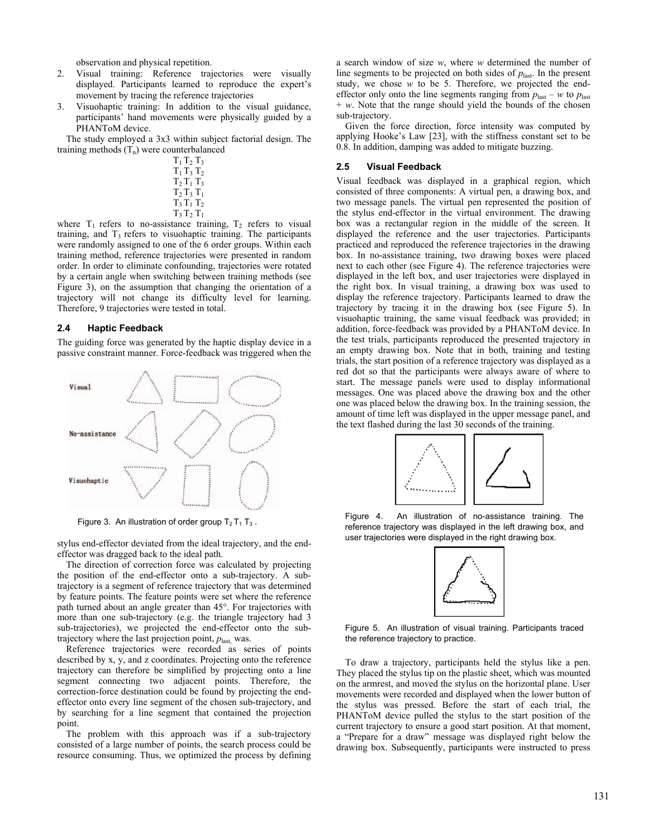observation and physical repetition.

- 2. Visual training: Reference trajectories were visually displayed. Participants learned to reproduce the expert's movement by tracing the reference trajectories
- 3. Visuohaptic training: In addition to the visual guidance, participants' hand movements were physically guided by a PHANToM device.

The study employed a 3x3 within subject factorial design. The training methods  $(T_n)$  were counterbalanced

 $T_1 T_2 T_3$  $T_1 T_3 T_2$  $T_2 T_1 T_3$  $T_2$   $T_3$   $T_1$  $T_3 T_1 T_2$  $T_3 T_2 T_1$ 

where  $T_1$  refers to no-assistance training,  $T_2$  refers to visual training, and  $T<sub>3</sub>$  refers to visuohaptic training. The participants were randomly assigned to one of the 6 order groups. Within each training method, reference trajectories were presented in random order. In order to eliminate confounding, trajectories were rotated by a certain angle when switching between training methods (see Figure 3), on the assumption that changing the orientation of a trajectory will not change its difficulty level for learning. Therefore, 9 trajectories were tested in total.

### **2.4 Haptic Feedback**

The guiding force was generated by the haptic display device in a passive constraint manner. Force-feedback was triggered when the



Figure 3. An illustration of order group  $T_2T_1T_3$ .

stylus end-effector deviated from the ideal trajectory, and the endeffector was dragged back to the ideal path.

The direction of correction force was calculated by projecting the position of the end-effector onto a sub-trajectory. A subtrajectory is a segment of reference trajectory that was determined by feature points. The feature points were set where the reference path turned about an angle greater than 45°. For trajectories with more than one sub-trajectory (e.g. the triangle trajectory had 3 sub-trajectories), we projected the end-effector onto the subtrajectory where the last projection point,  $p_{\text{last}}$  was.

Reference trajectories were recorded as series of points described by x, y, and z coordinates. Projecting onto the reference trajectory can therefore be simplified by projecting onto a line segment connecting two adjacent points. Therefore, the correction-force destination could be found by projecting the endeffector onto every line segment of the chosen sub-trajectory, and by searching for a line segment that contained the projection point.

The problem with this approach was if a sub-trajectory consisted of a large number of points, the search process could be resource consuming. Thus, we optimized the process by defining a search window of size *w*, where *w* determined the number of line segments to be projected on both sides of  $p_{\text{last}}$ . In the present study, we chose *w* to be 5. Therefore, we projected the endeffector only onto the line segments ranging from  $p_{\text{last}} - w$  to  $p_{\text{last}}$ + *w*. Note that the range should yield the bounds of the chosen sub-trajectory.

Given the force direction, force intensity was computed by applying Hooke's Law [23], with the stiffness constant set to be 0.8. In addition, damping was added to mitigate buzzing.

# **2.5 Visual Feedback**

Visual feedback was displayed in a graphical region, which consisted of three components: A virtual pen, a drawing box, and two message panels. The virtual pen represented the position of the stylus end-effector in the virtual environment. The drawing box was a rectangular region in the middle of the screen. It displayed the reference and the user trajectories. Participants practiced and reproduced the reference trajectories in the drawing box. In no-assistance training, two drawing boxes were placed next to each other (see Figure 4). The reference trajectories were displayed in the left box, and user trajectories were displayed in the right box. In visual training, a drawing box was used to display the reference trajectory. Participants learned to draw the trajectory by tracing it in the drawing box (see Figure 5). In visuohaptic training, the same visual feedback was provided; in addition, force-feedback was provided by a PHANToM device. In the test trials, participants reproduced the presented trajectory in an empty drawing box. Note that in both, training and testing trials, the start position of a reference trajectory was displayed as a red dot so that the participants were always aware of where to start. The message panels were used to display informational messages. One was placed above the drawing box and the other one was placed below the drawing box. In the training session, the amount of time left was displayed in the upper message panel, and the text flashed during the last 30 seconds of the training.



Figure 4. An illustration of no-assistance training. The reference trajectory was displayed in the left drawing box, and user trajectories were displayed in the right drawing box.



Figure 5. An illustration of visual training. Participants traced the reference trajectory to practice.

To draw a trajectory, participants held the stylus like a pen. They placed the stylus tip on the plastic sheet, which was mounted on the armrest, and moved the stylus on the horizontal plane. User movements were recorded and displayed when the lower button of the stylus was pressed. Before the start of each trial, the PHANToM device pulled the stylus to the start position of the current trajectory to ensure a good start position. At that moment, a "Prepare for a draw" message was displayed right below the drawing box. Subsequently, participants were instructed to press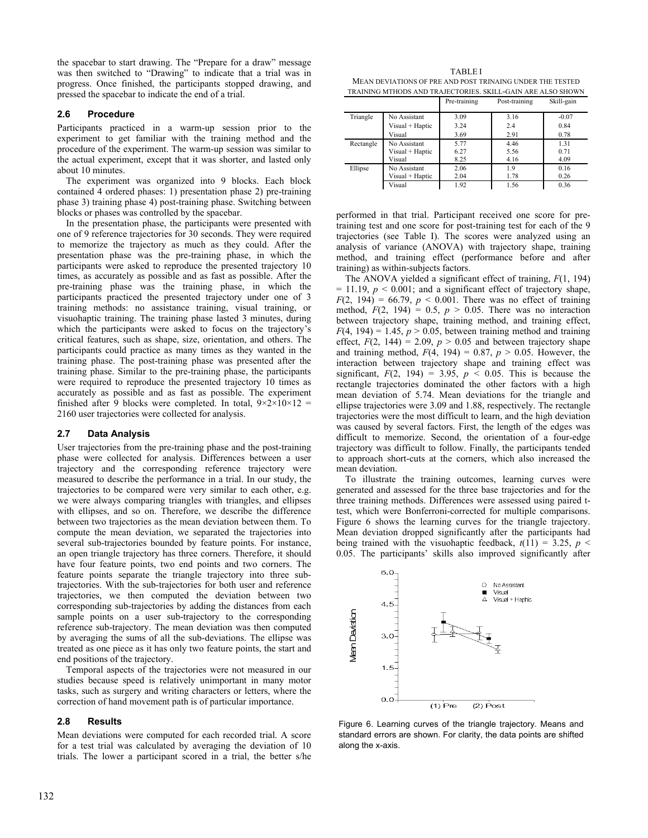the spacebar to start drawing. The "Prepare for a draw" message was then switched to "Drawing" to indicate that a trial was in progress. Once finished, the participants stopped drawing, and pressed the spacebar to indicate the end of a trial.

# **2.6 Procedure**

Participants practiced in a warm-up session prior to the experiment to get familiar with the training method and the procedure of the experiment. The warm-up session was similar to the actual experiment, except that it was shorter, and lasted only about 10 minutes.

The experiment was organized into 9 blocks. Each block contained 4 ordered phases: 1) presentation phase 2) pre-training phase 3) training phase 4) post-training phase. Switching between blocks or phases was controlled by the spacebar.

In the presentation phase, the participants were presented with one of 9 reference trajectories for 30 seconds. They were required to memorize the trajectory as much as they could. After the presentation phase was the pre-training phase, in which the participants were asked to reproduce the presented trajectory 10 times, as accurately as possible and as fast as possible. After the pre-training phase was the training phase, in which the participants practiced the presented trajectory under one of 3 training methods: no assistance training, visual training, or visuohaptic training. The training phase lasted 3 minutes, during which the participants were asked to focus on the trajectory's critical features, such as shape, size, orientation, and others. The participants could practice as many times as they wanted in the training phase. The post-training phase was presented after the training phase. Similar to the pre-training phase, the participants were required to reproduce the presented trajectory 10 times as accurately as possible and as fast as possible. The experiment finished after 9 blocks were completed. In total,  $9 \times 2 \times 10 \times 12 =$ 2160 user trajectories were collected for analysis.

### **2.7 Data Analysis**

User trajectories from the pre-training phase and the post-training phase were collected for analysis. Differences between a user trajectory and the corresponding reference trajectory were measured to describe the performance in a trial. In our study, the trajectories to be compared were very similar to each other, e.g. we were always comparing triangles with triangles, and ellipses with ellipses, and so on. Therefore, we describe the difference between two trajectories as the mean deviation between them. To compute the mean deviation, we separated the trajectories into several sub-trajectories bounded by feature points. For instance, an open triangle trajectory has three corners. Therefore, it should have four feature points, two end points and two corners. The feature points separate the triangle trajectory into three subtrajectories. With the sub-trajectories for both user and reference trajectories, we then computed the deviation between two corresponding sub-trajectories by adding the distances from each sample points on a user sub-trajectory to the corresponding reference sub-trajectory. The mean deviation was then computed by averaging the sums of all the sub-deviations. The ellipse was treated as one piece as it has only two feature points, the start and end positions of the trajectory.

Temporal aspects of the trajectories were not measured in our studies because speed is relatively unimportant in many motor tasks, such as surgery and writing characters or letters, where the correction of hand movement path is of particular importance.

### **2.8 Results**

Mean deviations were computed for each recorded trial. A score for a test trial was calculated by averaging the deviation of 10 trials. The lower a participant scored in a trial, the better s/he

TABLE I MEAN DEVIATIONS OF PRE AND POST TRINAING UNDER THE TESTED TRAINING MTHODS AND TRAJECTORIES. SKILL-GAIN ARE ALSO SHOWN

|           |                 | Pre-training | Post-training | Skill-gain |
|-----------|-----------------|--------------|---------------|------------|
| Triangle  | No Assistant    | 3.09         | 3.16          | $-0.07$    |
|           | Visual + Haptic | 3.24         | 24            | 0.84       |
|           | Visual          | 3.69         | 2.91          | 0.78       |
| Rectangle | No Assistant    | 5.77         | 4.46          | 1.31       |
|           | Visual + Haptic | 6.27         | 5.56          | 0.71       |
|           | Visual          | 8.25         | 4.16          | 4.09       |
| Ellipse   | No Assistant    | 2.06         | 1.9           | 0.16       |
|           | Visual + Haptic | 2.04         | 1.78          | 0.26       |
|           | Visual          | 1.92         | 1.56          | 0.36       |

performed in that trial. Participant received one score for pretraining test and one score for post-training test for each of the 9 trajectories (see Table I). The scores were analyzed using an analysis of variance (ANOVA) with trajectory shape, training method, and training effect (performance before and after training) as within-subjects factors.

The ANOVA yielded a significant effect of training, *F*(1, 194)  $= 11.19$ ,  $p < 0.001$ ; and a significant effect of trajectory shape,  $F(2, 194) = 66.79$ ,  $p < 0.001$ . There was no effect of training method,  $F(2, 194) = 0.5$ ,  $p > 0.05$ . There was no interaction between trajectory shape, training method, and training effect,  $F(4, 194) = 1.45$ ,  $p > 0.05$ , between training method and training effect,  $F(2, 144) = 2.09$ ,  $p > 0.05$  and between trajectory shape and training method,  $F(4, 194) = 0.87$ ,  $p > 0.05$ . However, the interaction between trajectory shape and training effect was significant,  $F(2, 194) = 3.95$ ,  $p < 0.05$ . This is because the rectangle trajectories dominated the other factors with a high mean deviation of 5.74. Mean deviations for the triangle and ellipse trajectories were 3.09 and 1.88, respectively. The rectangle trajectories were the most difficult to learn, and the high deviation was caused by several factors. First, the length of the edges was difficult to memorize. Second, the orientation of a four-edge trajectory was difficult to follow. Finally, the participants tended to approach short-cuts at the corners, which also increased the mean deviation.

To illustrate the training outcomes, learning curves were generated and assessed for the three base trajectories and for the three training methods. Differences were assessed using paired ttest, which were Bonferroni-corrected for multiple comparisons. Figure 6 shows the learning curves for the triangle trajectory. Mean deviation dropped significantly after the participants had being trained with the visuohaptic feedback,  $t(11) = 3.25$ ,  $p <$ 0.05. The participants' skills also improved significantly after



Figure 6. Learning curves of the triangle trajectory. Means and standard errors are shown. For clarity, the data points are shifted along the x-axis.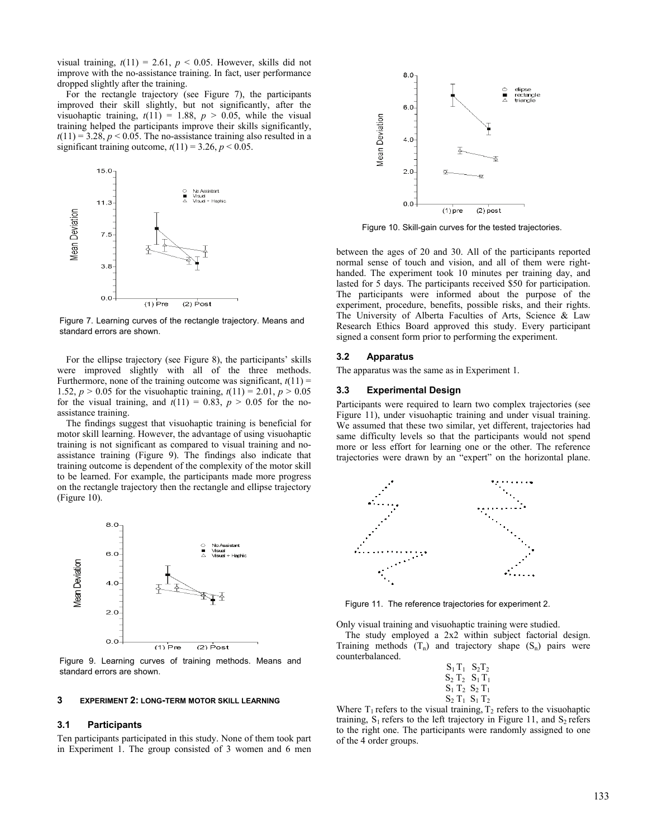visual training,  $t(11) = 2.61$ ,  $p < 0.05$ . However, skills did not improve with the no-assistance training. In fact, user performance dropped slightly after the training.

For the rectangle trajectory (see Figure 7), the participants improved their skill slightly, but not significantly, after the visuohaptic training,  $t(11) = 1.88$ ,  $p > 0.05$ , while the visual training helped the participants improve their skills significantly,  $t(11) = 3.28$ ,  $p < 0.05$ . The no-assistance training also resulted in a significant training outcome,  $t(11) = 3.26$ ,  $p < 0.05$ .



Figure 7. Learning curves of the rectangle trajectory. Means and standard errors are shown.

For the ellipse trajectory (see Figure 8), the participants' skills were improved slightly with all of the three methods. Furthermore, none of the training outcome was significant,  $t(11)$  = 1.52,  $p > 0.05$  for the visuo haptic training,  $t(11) = 2.01$ ,  $p > 0.05$ for the visual training, and  $t(11) = 0.83$ ,  $p > 0.05$  for the noassistance training.

The findings suggest that visuohaptic training is beneficial for motor skill learning. However, the advantage of using visuohaptic training is not significant as compared to visual training and noassistance training (Figure 9). The findings also indicate that training outcome is dependent of the complexity of the motor skill to be learned. For example, the participants made more progress on the rectangle trajectory then the rectangle and ellipse trajectory (Figure 10).



Figure 9. Learning curves of training methods. Means and standard errors are shown.  $S_1 T_1 S_2 T_2$ <br> $S_2 T_2 S_1 T_1$ 

#### **3 EXPERIMENT 2: LONG-TERM MOTOR SKILL LEARNING**

#### **3.1 Participants**

Ten participants participated in this study. None of them took part in Experiment 1. The group consisted of 3 women and 6 men



Figure 10. Skill-gain curves for the tested trajectories.

between the ages of 20 and 30. All of the participants reported normal sense of touch and vision, and all of them were righthanded. The experiment took 10 minutes per training day, and lasted for 5 days. The participants received \$50 for participation. The participants were informed about the purpose of the experiment, procedure, benefits, possible risks, and their rights. The University of Alberta Faculties of Arts, Science & Law Research Ethics Board approved this study. Every participant signed a consent form prior to performing the experiment.

### **3.2 Apparatus**

The apparatus was the same as in Experiment 1.

### **3.3 Experimental Design**

Participants were required to learn two complex trajectories (see Figure 11), under visuohaptic training and under visual training. We assumed that these two similar, yet different, trajectories had same difficulty levels so that the participants would not spend more or less effort for learning one or the other. The reference trajectories were drawn by an "expert" on the horizontal plane.



Figure 11. The reference trajectories for experiment 2.

Only visual training and visuohaptic training were studied.

The study employed a 2x2 within subject factorial design. Training methods  $(T_n)$  and trajectory shape  $(S_n)$  pairs were counterbalanced.

| $S_1T_1$                      | $S_2T_2$             |
|-------------------------------|----------------------|
| $S_2$ $T_2$                   | $S_1T_1$             |
| $\mathrm{S}_1 \mathrm{\ T}_2$ | $S_2$ $T_1$          |
| $S_2$ $T_1$                   | $S_1$ T <sub>2</sub> |

Where  $T_1$  refers to the visual training,  $T_2$  refers to the visuohaptic training,  $S_1$  refers to the left trajectory in Figure 11, and  $S_2$  refers to the right one. The participants were randomly assigned to one of the 4 order groups.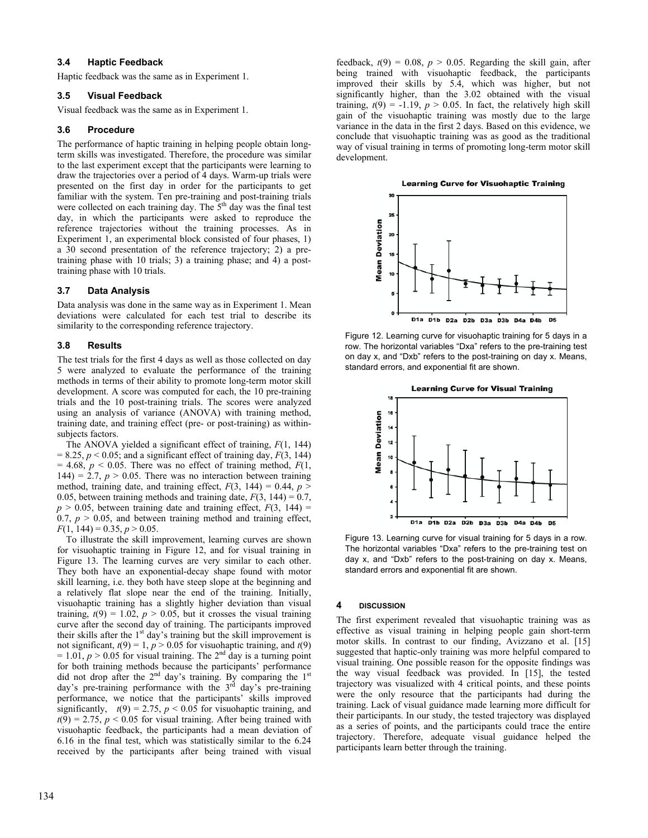# **3.4 Haptic Feedback**

Haptic feedback was the same as in Experiment 1.

# **3.5 Visual Feedback**

Visual feedback was the same as in Experiment 1.

# **3.6 Procedure**

The performance of haptic training in helping people obtain longterm skills was investigated. Therefore, the procedure was similar to the last experiment except that the participants were learning to draw the trajectories over a period of 4 days. Warm-up trials were presented on the first day in order for the participants to get familiar with the system. Ten pre-training and post-training trials were collected on each training day. The  $5<sup>th</sup>$  day was the final test day, in which the participants were asked to reproduce the reference trajectories without the training processes. As in Experiment 1, an experimental block consisted of four phases, 1) a 30 second presentation of the reference trajectory; 2) a pretraining phase with 10 trials; 3) a training phase; and 4) a posttraining phase with 10 trials.

# **3.7 Data Analysis**

Data analysis was done in the same way as in Experiment 1. Mean deviations were calculated for each test trial to describe its similarity to the corresponding reference trajectory.

# **3.8 Results**

The test trials for the first 4 days as well as those collected on day 5 were analyzed to evaluate the performance of the training methods in terms of their ability to promote long-term motor skill development. A score was computed for each, the 10 pre-training trials and the 10 post-training trials. The scores were analyzed using an analysis of variance (ANOVA) with training method, training date, and training effect (pre- or post-training) as withinsubjects factors.

The ANOVA yielded a significant effect of training, *F*(1, 144)  $= 8.25, p \le 0.05$ ; and a significant effect of training day,  $F(3, 144)$  $= 4.68$ ,  $p \le 0.05$ . There was no effect of training method,  $F(1, 0.05)$ 144) =  $2.7, p > 0.05$ . There was no interaction between training method, training date, and training effect,  $F(3, 144) = 0.44$ ,  $p >$ 0.05, between training methods and training date,  $F(3, 144) = 0.7$ ,  $p > 0.05$ , between training date and training effect,  $F(3, 144) =$  $0.7, p > 0.05$ , and between training method and training effect,  $F(1, 144) = 0.35, p > 0.05.$ 

To illustrate the skill improvement, learning curves are shown for visuohaptic training in Figure 12, and for visual training in Figure 13. The learning curves are very similar to each other. They both have an exponential-decay shape found with motor skill learning, i.e. they both have steep slope at the beginning and a relatively flat slope near the end of the training. Initially, visuohaptic training has a slightly higher deviation than visual training,  $t(9) = 1.02$ ,  $p > 0.05$ , but it crosses the visual training curve after the second day of training. The participants improved their skills after the  $1<sup>st</sup>$  day's training but the skill improvement is not significant,  $t(9) = 1$ ,  $p > 0.05$  for visuohaptic training, and  $t(9)$  $= 1.01, p > 0.05$  for visual training. The 2<sup>nd</sup> day is a turning point for both training methods because the participants' performance did not drop after the  $2<sup>nd</sup>$  day's training. By comparing the  $1<sup>st</sup>$ day's pre-training performance with the  $3^{rd}$  day's pre-training performance, we notice that the participants' skills improved significantly,  $t(9) = 2.75$ ,  $p < 0.05$  for visuohaptic training, and  $t(9) = 2.75$ ,  $p < 0.05$  for visual training. After being trained with visuohaptic feedback, the participants had a mean deviation of 6.16 in the final test, which was statistically similar to the 6.24 received by the participants after being trained with visual

feedback,  $t(9) = 0.08$ ,  $p > 0.05$ . Regarding the skill gain, after being trained with visuohaptic feedback, the participants improved their skills by 5.4, which was higher, but not significantly higher, than the 3.02 obtained with the visual training,  $t(9) = -1.19$ ,  $p > 0.05$ . In fact, the relatively high skill gain of the visuohaptic training was mostly due to the large variance in the data in the first 2 days. Based on this evidence, we conclude that visuohaptic training was as good as the traditional way of visual training in terms of promoting long-term motor skill development.

**Learning Curve for Visuohaptic Training** 



Figure 12. Learning curve for visuohaptic training for 5 days in a row. The horizontal variables "Dxa" refers to the pre-training test on day x, and "Dxb" refers to the post-training on day x. Means, standard errors, and exponential fit are shown.



Figure 13. Learning curve for visual training for 5 days in a row. The horizontal variables "Dxa" refers to the pre-training test on day x, and "Dxb" refers to the post-training on day x. Means, standard errors and exponential fit are shown.

### **4 DISCUSSION**

The first experiment revealed that visuohaptic training was as effective as visual training in helping people gain short-term motor skills. In contrast to our finding, Avizzano et al. [15] suggested that haptic-only training was more helpful compared to visual training. One possible reason for the opposite findings was the way visual feedback was provided. In [15], the tested trajectory was visualized with 4 critical points, and these points were the only resource that the participants had during the training. Lack of visual guidance made learning more difficult for their participants. In our study, the tested trajectory was displayed as a series of points, and the participants could trace the entire trajectory. Therefore, adequate visual guidance helped the participants learn better through the training.